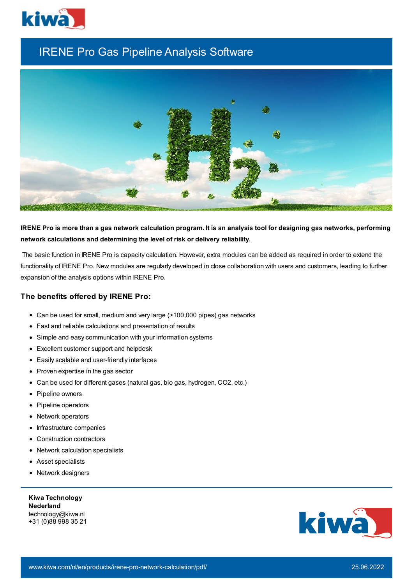

# IRENE Pro Gas Pipeline Analysis Software



IRENE Pro is more than a gas network calculation program. It is an analysis tool for designing gas networks, performing **network calculations and determining the level of risk or delivery reliability.**

The basic function in IRENE Pro is capacity calculation. However, extra modules can be added as required in order to extend the functionality of IRENE Pro. New modules are regularly developed in close collaboration with users and customers, leading to further expansion of the analysis options within IRENE Pro.

#### **The benefits offered by IRENE Pro:**

- Can be used for small, medium and very large (>100,000 pipes) gas networks
- Fast and reliable calculations and presentation of results
- Simple and easy communication with your information systems
- Excellent customer support and helpdesk
- Easily scalable and user-friendly interfaces
- Proven expertise in the gas sector
- Can be used for different gases (natural gas, bio gas, hydrogen, CO2, etc.)
- Pipeline owners
- Pipeline operators
- Network operators
- Infrastructure companies  $\bullet$
- Construction contractors
- Network calculation specialists
- Asset specialists
- Network designers

**Kiwa Technology Nederland** technology@kiwa.nl +31 (0)88 998 35 21

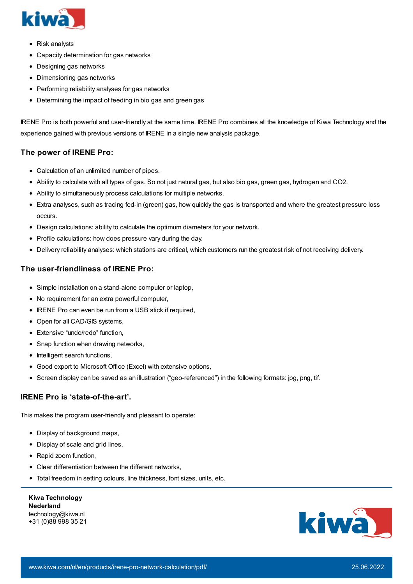

- Risk analysts
- Capacity determination for gas networks
- Designing gas networks
- Dimensioning gas networks
- Performing reliability analyses for gas networks
- Determining the impact of feeding in bio gas and green gas

IRENE Pro is both powerful and user-friendly at the same time. IRENE Pro combines all the knowledge of Kiwa Technology and the experience gained with previous versions of IRENE in a single new analysis package.

## **The power of IRENE Pro:**

- Calculation of an unlimited number of pipes.
- Ability to calculate with all types of gas. So not just natural gas, but also bio gas, green gas, hydrogen and CO2.
- Ability to simultaneously process calculations for multiple networks.
- Extra analyses, such as tracing fed-in (green) gas, how quickly the gas is transported and where the greatest pressure loss occurs.
- Design calculations: ability to calculate the optimum diameters for your network.
- Profile calculations: how does pressure vary during the day.
- Delivery reliability analyses: which stations are critical, which customers run the greatest risk of not receiving delivery.

#### **The user-friendliness of IRENE Pro:**

- Simple installation on a stand-alone computer or laptop,
- No requirement for an extra powerful computer,
- IRENE Pro can even be run from a USB stick if required,
- Open for all CAD/GIS systems,
- Extensive "undo/redo" function,
- Snap function when drawing networks,
- Intelligent search functions,
- Good export to Microsoft Office (Excel) with extensive options,
- Screen display can be saved as an illustration ("geo-referenced") in the following formats: jpg, png, tif.

## **IRENE Pro is 'state-of-the-art'.**

This makes the program user-friendly and pleasant to operate:

- Display of background maps,
- Display of scale and grid lines,
- Rapid zoom function,
- Clear differentiation between the different networks,
- Total freedom in setting colours, line thickness, font sizes, units, etc.

| <b>Kiwa Technology</b> |
|------------------------|
| <b>Nederland</b>       |
| technology@kiwa.nl     |
| +31 (0)88 998 35 21    |